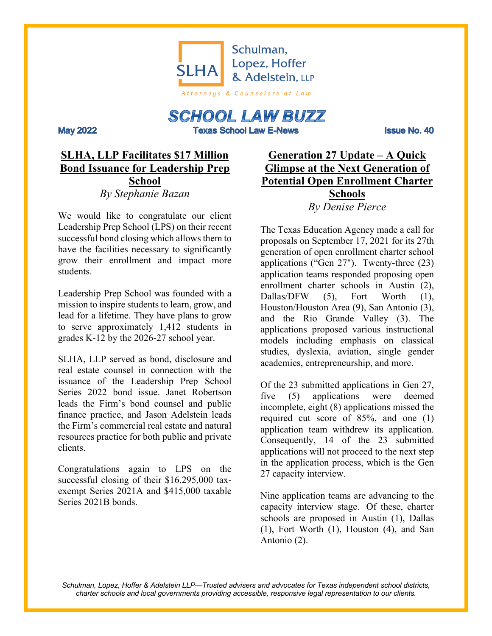

# **SCHOOL LAW BUZZ**

**Texas School Law E-News** 

Issue No. 40

# **SLHA, LLP Facilitates \$17 Million Bond Issuance for Leadership Prep School** *By Stephanie Bazan*

**May 2022** 

We would like to congratulate our client Leadership Prep School (LPS) on their recent successful bond closing which allows them to have the facilities necessary to significantly grow their enrollment and impact more students.

Leadership Prep School was founded with a mission to inspire students to learn, grow, and lead for a lifetime. They have plans to grow to serve approximately 1,412 students in grades K-12 by the 2026-27 school year.

SLHA, LLP served as bond, disclosure and real estate counsel in connection with the issuance of the Leadership Prep School Series 2022 bond issue. Janet Robertson leads the Firm's bond counsel and public finance practice, and Jason Adelstein leads the Firm's commercial real estate and natural resources practice for both public and private clients.

Congratulations again to LPS on the successful closing of their \$16,295,000 taxexempt Series 2021A and \$415,000 taxable Series 2021B bonds.

**Generation 27 Update – A Quick Glimpse at the Next Generation of Potential Open Enrollment Charter Schools** *By Denise Pierce*

The Texas Education Agency made a call for proposals on September 17, 2021 for its 27th generation of open enrollment charter school applications ("Gen 27"). Twenty-three (23) application teams responded proposing open enrollment charter schools in Austin (2), Dallas/DFW (5), Fort Worth (1), Houston/Houston Area (9), San Antonio (3), and the Rio Grande Valley (3). The applications proposed various instructional models including emphasis on classical studies, dyslexia, aviation, single gender academies, entrepreneurship, and more.

Of the 23 submitted applications in Gen 27, five (5) applications were deemed incomplete, eight (8) applications missed the required cut score of 85%, and one (1) application team withdrew its application. Consequently, 14 of the 23 submitted applications will not proceed to the next step in the application process, which is the Gen 27 capacity interview.

Nine application teams are advancing to the capacity interview stage. Of these, charter schools are proposed in Austin (1), Dallas (1), Fort Worth (1), Houston (4), and San Antonio (2).

*Schulman, Lopez, Hoffer & Adelstein LLP—Trusted advisers and advocates for Texas independent school districts, charter schools and local governments providing accessible, responsive legal representation to our clients.*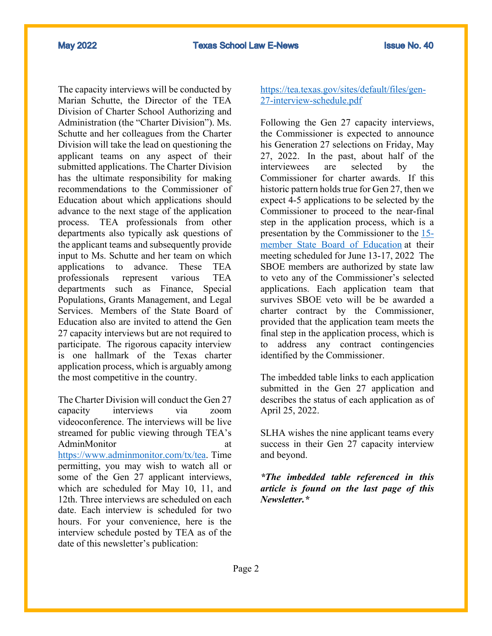The capacity interviews will be conducted by Marian Schutte, the Director of the TEA Division of Charter School Authorizing and Administration (the "Charter Division"). Ms. Schutte and her colleagues from the Charter Division will take the lead on questioning the applicant teams on any aspect of their submitted applications. The Charter Division has the ultimate responsibility for making recommendations to the Commissioner of Education about which applications should advance to the next stage of the application process. TEA professionals from other departments also typically ask questions of the applicant teams and subsequently provide input to Ms. Schutte and her team on which applications to advance. These TEA professionals represent various TEA departments such as Finance, Special Populations, Grants Management, and Legal Services. Members of the State Board of Education also are invited to attend the Gen 27 capacity interviews but are not required to participate. The rigorous capacity interview is one hallmark of the Texas charter application process, which is arguably among the most competitive in the country.

The Charter Division will conduct the Gen 27 capacity interviews via zoom videoconference. The interviews will be live streamed for public viewing through TEA's AdminMonitor at https://www.adminmonitor.com/tx/tea. Time permitting, you may wish to watch all or some of the Gen 27 applicant interviews, which are scheduled for May 10, 11, and 12th. Three interviews are scheduled on each date. Each interview is scheduled for two hours. For your convenience, here is the interview schedule posted by TEA as of the date of this newsletter's publication:

#### https://tea.texas.gov/sites/default/files/gen-27-interview-schedule.pdf

Following the Gen 27 capacity interviews, the Commissioner is expected to announce his Generation 27 selections on Friday, May 27, 2022. In the past, about half of the interviewees are selected by the Commissioner for charter awards. If this historic pattern holds true for Gen 27, then we expect 4-5 applications to be selected by the Commissioner to proceed to the near-final step in the application process, which is a presentation by the Commissioner to the 15 member State Board of Education at their meeting scheduled for June 13-17, 2022 The SBOE members are authorized by state law to veto any of the Commissioner's selected applications. Each application team that survives SBOE veto will be be awarded a charter contract by the Commissioner, provided that the application team meets the final step in the application process, which is to address any contract contingencies identified by the Commissioner.

The imbedded table links to each application submitted in the Gen 27 application and describes the status of each application as of April 25, 2022.

SLHA wishes the nine applicant teams every success in their Gen 27 capacity interview and beyond.

*\*The imbedded table referenced in this article is found on the last page of this Newsletter.\**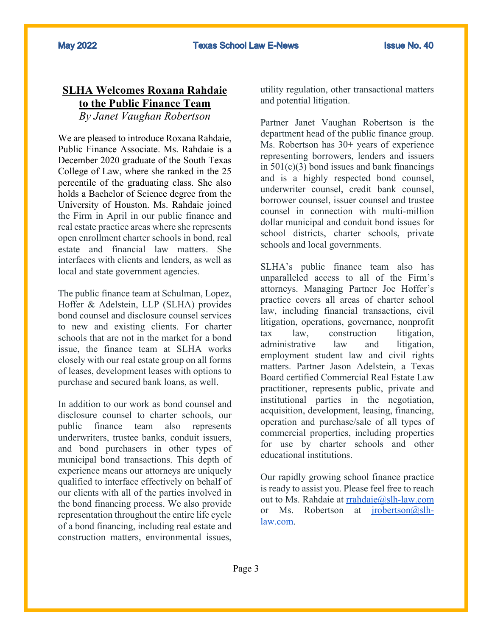### **SLHA Welcomes Roxana Rahdaie to the Public Finance Team** *By Janet Vaughan Robertson*

We are pleased to introduce Roxana Rahdaie, Public Finance Associate. Ms. Rahdaie is a December 2020 graduate of the South Texas College of Law, where she ranked in the 25 percentile of the graduating class. She also holds a Bachelor of Science degree from the University of Houston. Ms. Rahdaie joined the Firm in April in our public finance and real estate practice areas where she represents open enrollment charter schools in bond, real estate and financial law matters. She interfaces with clients and lenders, as well as local and state government agencies.

The public finance team at Schulman, Lopez, Hoffer & Adelstein, LLP (SLHA) provides bond counsel and disclosure counsel services to new and existing clients. For charter schools that are not in the market for a bond issue, the finance team at SLHA works closely with our real estate group on all forms of leases, development leases with options to purchase and secured bank loans, as well.

In addition to our work as bond counsel and disclosure counsel to charter schools, our public finance team also represents underwriters, trustee banks, conduit issuers, and bond purchasers in other types of municipal bond transactions. This depth of experience means our attorneys are uniquely qualified to interface effectively on behalf of our clients with all of the parties involved in the bond financing process. We also provide representation throughout the entire life cycle of a bond financing, including real estate and construction matters, environmental issues,

utility regulation, other transactional matters and potential litigation.

Partner Janet Vaughan Robertson is the department head of the public finance group. Ms. Robertson has 30+ years of experience representing borrowers, lenders and issuers in  $501(c)(3)$  bond issues and bank financings and is a highly respected bond counsel, underwriter counsel, credit bank counsel, borrower counsel, issuer counsel and trustee counsel in connection with multi-million dollar municipal and conduit bond issues for school districts, charter schools, private schools and local governments.

SLHA's public finance team also has unparalleled access to all of the Firm's attorneys. Managing Partner Joe Hoffer's practice covers all areas of charter school law, including financial transactions, civil litigation, operations, governance, nonprofit tax law, construction litigation, administrative law and litigation, employment student law and civil rights matters. Partner Jason Adelstein, a Texas Board certified Commercial Real Estate Law practitioner, represents public, private and institutional parties in the negotiation, acquisition, development, leasing, financing, operation and purchase/sale of all types of commercial properties, including properties for use by charter schools and other educational institutions.

Our rapidly growing school finance practice is ready to assist you. Please feel free to reach out to Ms. Rahdaie at rrahdaie@slh-law.com or Ms. Robertson at jrobertson@slhlaw.com.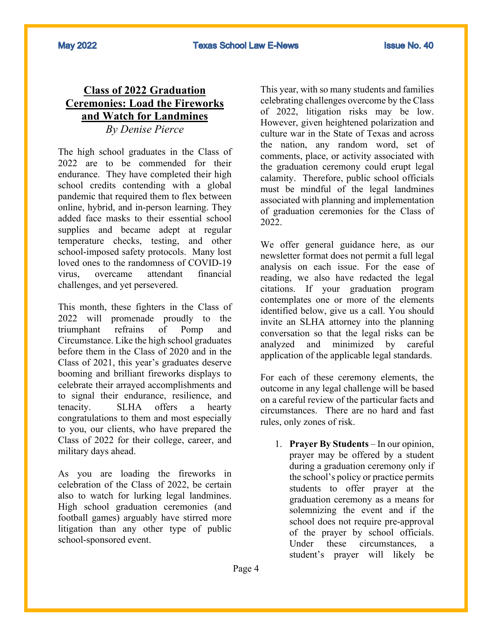## **Class of 2022 Graduation Ceremonies: Load the Fireworks and Watch for Landmines** *By Denise Pierce*

The high school graduates in the Class of 2022 are to be commended for their endurance. They have completed their high school credits contending with a global pandemic that required them to flex between online, hybrid, and in-person learning. They added face masks to their essential school supplies and became adept at regular temperature checks, testing, and other school-imposed safety protocols. Many lost loved ones to the randomness of COVID-19 virus, overcame attendant financial challenges, and yet persevered.

This month, these fighters in the Class of 2022 will promenade proudly to the triumphant refrains of Pomp and Circumstance. Like the high school graduates before them in the Class of 2020 and in the Class of 2021, this year's graduates deserve booming and brilliant fireworks displays to celebrate their arrayed accomplishments and to signal their endurance, resilience, and tenacity. SLHA offers a hearty congratulations to them and most especially to you, our clients, who have prepared the Class of 2022 for their college, career, and military days ahead.

As you are loading the fireworks in celebration of the Class of 2022, be certain also to watch for lurking legal landmines. High school graduation ceremonies (and football games) arguably have stirred more litigation than any other type of public school-sponsored event.

This year, with so many students and families celebrating challenges overcome by the Class of 2022, litigation risks may be low. However, given heightened polarization and culture war in the State of Texas and across the nation, any random word, set of comments, place, or activity associated with the graduation ceremony could erupt legal calamity. Therefore, public school officials must be mindful of the legal landmines associated with planning and implementation of graduation ceremonies for the Class of 2022.

We offer general guidance here, as our newsletter format does not permit a full legal analysis on each issue. For the ease of reading, we also have redacted the legal citations. If your graduation program contemplates one or more of the elements identified below, give us a call. You should invite an SLHA attorney into the planning conversation so that the legal risks can be analyzed and minimized by careful application of the applicable legal standards.

For each of these ceremony elements, the outcome in any legal challenge will be based on a careful review of the particular facts and circumstances. There are no hard and fast rules, only zones of risk.

1. **Prayer By Students** – In our opinion, prayer may be offered by a student during a graduation ceremony only if the school's policy or practice permits students to offer prayer at the graduation ceremony as a means for solemnizing the event and if the school does not require pre-approval of the prayer by school officials. Under these circumstances, a student's prayer will likely be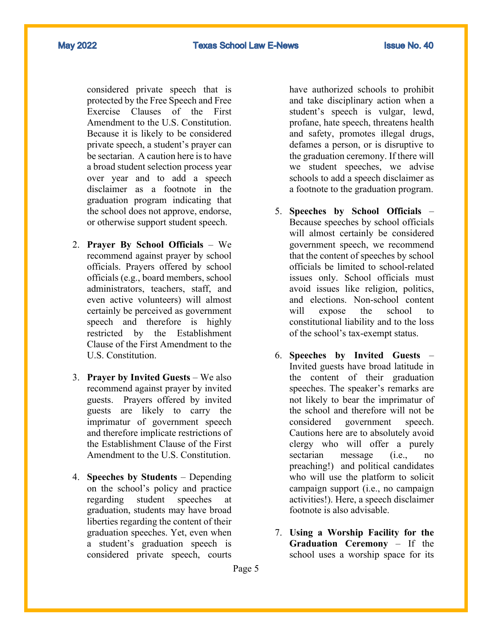**May 2022** 

considered private speech that is protected by the Free Speech and Free Exercise Clauses of the First Amendment to the U.S. Constitution. Because it is likely to be considered private speech, a student's prayer can be sectarian. A caution here is to have a broad student selection process year over year and to add a speech disclaimer as a footnote in the graduation program indicating that the school does not approve, endorse, or otherwise support student speech.

- 2. **Prayer By School Officials** We recommend against prayer by school officials. Prayers offered by school officials (e.g., board members, school administrators, teachers, staff, and even active volunteers) will almost certainly be perceived as government speech and therefore is highly restricted by the Establishment Clause of the First Amendment to the U.S. Constitution.
- 3. **Prayer by Invited Guests** We also recommend against prayer by invited guests. Prayers offered by invited guests are likely to carry the imprimatur of government speech and therefore implicate restrictions of the Establishment Clause of the First Amendment to the U.S. Constitution.
- 4. **Speeches by Students** Depending on the school's policy and practice regarding student speeches at graduation, students may have broad liberties regarding the content of their graduation speeches. Yet, even when a student's graduation speech is considered private speech, courts

have authorized schools to prohibit and take disciplinary action when a student's speech is vulgar, lewd, profane, hate speech, threatens health and safety, promotes illegal drugs, defames a person, or is disruptive to the graduation ceremony. If there will we student speeches, we advise schools to add a speech disclaimer as a footnote to the graduation program.

- 5. **Speeches by School Officials** Because speeches by school officials will almost certainly be considered government speech, we recommend that the content of speeches by school officials be limited to school-related issues only. School officials must avoid issues like religion, politics, and elections. Non-school content will expose the school to constitutional liability and to the loss of the school's tax-exempt status.
- 6. **Speeches by Invited Guests** Invited guests have broad latitude in the content of their graduation speeches. The speaker's remarks are not likely to bear the imprimatur of the school and therefore will not be considered government speech. Cautions here are to absolutely avoid clergy who will offer a purely sectarian message (i.e., no preaching!) and political candidates who will use the platform to solicit campaign support (i.e., no campaign activities!). Here, a speech disclaimer footnote is also advisable.
- 7. **Using a Worship Facility for the Graduation Ceremony** – If the school uses a worship space for its

Page 5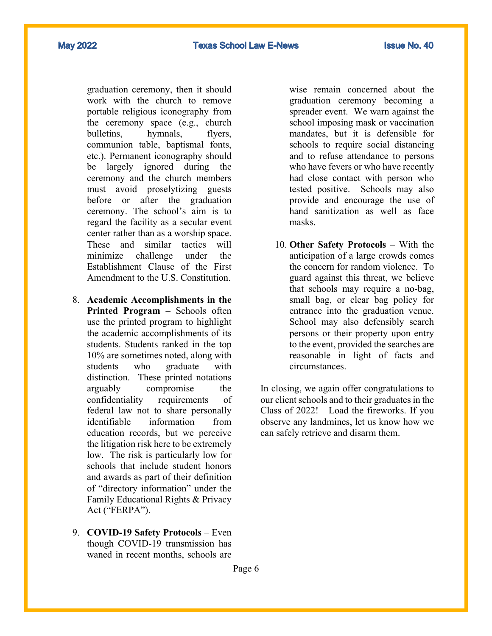**May 2022** 

graduation ceremony, then it should work with the church to remove portable religious iconography from the ceremony space (e.g., church bulletins, hymnals, flyers, communion table, baptismal fonts, etc.). Permanent iconography should be largely ignored during the ceremony and the church members must avoid proselytizing guests before or after the graduation ceremony. The school's aim is to regard the facility as a secular event center rather than as a worship space. These and similar tactics will minimize challenge under the Establishment Clause of the First Amendment to the U.S. Constitution.

- 8. **Academic Accomplishments in the Printed Program** – Schools often use the printed program to highlight the academic accomplishments of its students. Students ranked in the top 10% are sometimes noted, along with students who graduate with distinction. These printed notations arguably compromise the confidentiality requirements of federal law not to share personally identifiable information from education records, but we perceive the litigation risk here to be extremely low. The risk is particularly low for schools that include student honors and awards as part of their definition of "directory information" under the Family Educational Rights & Privacy Act ("FERPA").
- 9. **COVID-19 Safety Protocols** Even though COVID-19 transmission has waned in recent months, schools are

wise remain concerned about the graduation ceremony becoming a spreader event. We warn against the school imposing mask or vaccination mandates, but it is defensible for schools to require social distancing and to refuse attendance to persons who have fevers or who have recently had close contact with person who tested positive. Schools may also provide and encourage the use of hand sanitization as well as face masks.

10. **Other Safety Protocols** – With the anticipation of a large crowds comes the concern for random violence. To guard against this threat, we believe that schools may require a no-bag, small bag, or clear bag policy for entrance into the graduation venue. School may also defensibly search persons or their property upon entry to the event, provided the searches are reasonable in light of facts and circumstances.

In closing, we again offer congratulations to our client schools and to their graduates in the Class of 2022! Load the fireworks. If you observe any landmines, let us know how we can safely retrieve and disarm them.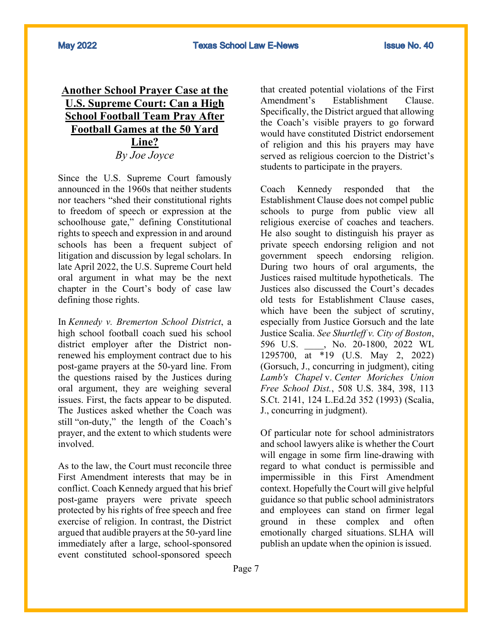## **Another School Prayer Case at the U.S. Supreme Court: Can a High School Football Team Pray After Football Games at the 50 Yard Line?** *By Joe Joyce*

Since the U.S. Supreme Court famously announced in the 1960s that neither students nor teachers "shed their constitutional rights to freedom of speech or expression at the schoolhouse gate," defining Constitutional rights to speech and expression in and around schools has been a frequent subject of litigation and discussion by legal scholars. In late April 2022, the U.S. Supreme Court held oral argument in what may be the next chapter in the Court's body of case law defining those rights.

In *Kennedy v. Bremerton School District*, a high school football coach sued his school district employer after the District nonrenewed his employment contract due to his post-game prayers at the 50-yard line. From the questions raised by the Justices during oral argument, they are weighing several issues. First, the facts appear to be disputed. The Justices asked whether the Coach was still "on-duty," the length of the Coach's prayer, and the extent to which students were involved.

As to the law, the Court must reconcile three First Amendment interests that may be in conflict. Coach Kennedy argued that his brief post-game prayers were private speech protected by his rights of free speech and free exercise of religion. In contrast, the District argued that audible prayers at the 50-yard line immediately after a large, school-sponsored event constituted school-sponsored speech

that created potential violations of the First Amendment's Establishment Clause. Specifically, the District argued that allowing the Coach's visible prayers to go forward would have constituted District endorsement of religion and this his prayers may have served as religious coercion to the District's students to participate in the prayers.

Coach Kennedy responded that the Establishment Clause does not compel public schools to purge from public view all religious exercise of coaches and teachers. He also sought to distinguish his prayer as private speech endorsing religion and not government speech endorsing religion. During two hours of oral arguments, the Justices raised multitude hypotheticals. The Justices also discussed the Court's decades old tests for Establishment Clause cases, which have been the subject of scrutiny, especially from Justice Gorsuch and the late Justice Scalia. *See Shurtleff v. City of Boston*, 596 U.S. \_\_\_\_, No. 20-1800, 2022 WL 1295700, at \*19 (U.S. May 2, 2022) (Gorsuch, J., concurring in judgment), citing *Lamb's Chapel* v. *Center Moriches Union Free School Dist.*, 508 U.S. 384, 398, 113 S.Ct. 2141, 124 L.Ed.2d 352 (1993) (Scalia, J., concurring in judgment).

Of particular note for school administrators and school lawyers alike is whether the Court will engage in some firm line-drawing with regard to what conduct is permissible and impermissible in this First Amendment context. Hopefully the Court will give helpful guidance so that public school administrators and employees can stand on firmer legal ground in these complex and often emotionally charged situations. SLHA will publish an update when the opinion is issued.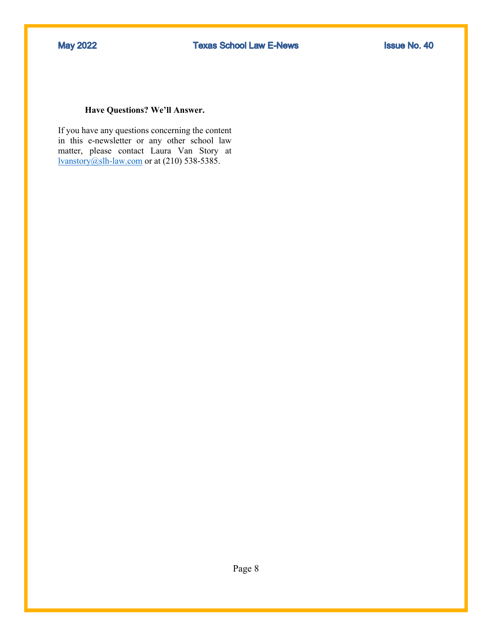#### **Have Questions? We'll Answer.**

If you have any questions concerning the content in this e-newsletter or any other school law matter, please contact Laura Van Story at lvanstory@slh-law.com or at (210) 538-5385.